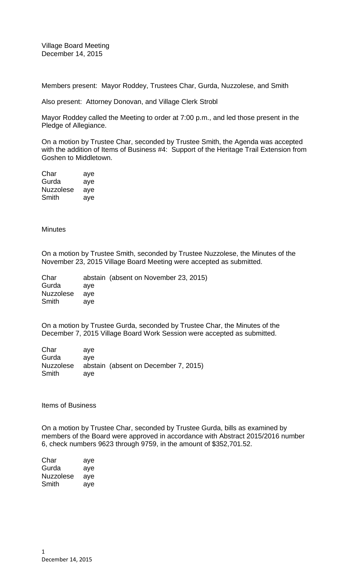Village Board Meeting December 14, 2015

Members present: Mayor Roddey, Trustees Char, Gurda, Nuzzolese, and Smith

Also present: Attorney Donovan, and Village Clerk Strobl

Mayor Roddey called the Meeting to order at 7:00 p.m., and led those present in the Pledge of Allegiance.

On a motion by Trustee Char, seconded by Trustee Smith, the Agenda was accepted with the addition of Items of Business #4: Support of the Heritage Trail Extension from Goshen to Middletown.

Char aye Gurda aye Nuzzolese aye Smith aye

**Minutes** 

On a motion by Trustee Smith, seconded by Trustee Nuzzolese, the Minutes of the November 23, 2015 Village Board Meeting were accepted as submitted.

|     | abstain (absent on November 23, 2015) |
|-----|---------------------------------------|
| ave |                                       |
|     |                                       |
| ave |                                       |
|     | ave                                   |

On a motion by Trustee Gurda, seconded by Trustee Char, the Minutes of the December 7, 2015 Village Board Work Session were accepted as submitted.

| Char      | ave |                                      |
|-----------|-----|--------------------------------------|
| Gurda     | ave |                                      |
| Nuzzolese |     | abstain (absent on December 7, 2015) |
| Smith     | ave |                                      |

Items of Business

On a motion by Trustee Char, seconded by Trustee Gurda, bills as examined by members of the Board were approved in accordance with Abstract 2015/2016 number 6, check numbers 9623 through 9759, in the amount of \$352,701.52.

| Char      | aye |
|-----------|-----|
| Gurda     | aye |
| Nuzzolese | aye |
| Smith     | ave |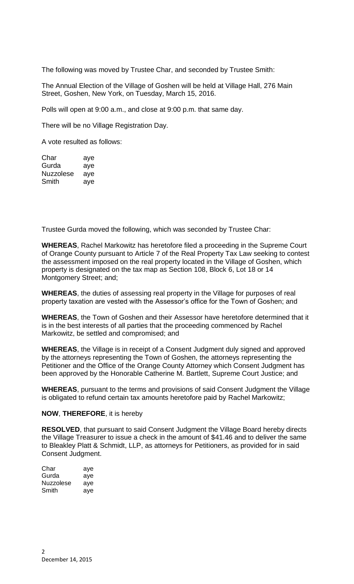The following was moved by Trustee Char, and seconded by Trustee Smith:

The Annual Election of the Village of Goshen will be held at Village Hall, 276 Main Street, Goshen, New York, on Tuesday, March 15, 2016.

Polls will open at 9:00 a.m., and close at 9:00 p.m. that same day.

There will be no Village Registration Day.

A vote resulted as follows:

| Char             | aye |
|------------------|-----|
| Gurda            | aye |
| <b>Nuzzolese</b> | ave |
| Smith            | ave |

Trustee Gurda moved the following, which was seconded by Trustee Char:

**WHEREAS**, Rachel Markowitz has heretofore filed a proceeding in the Supreme Court of Orange County pursuant to Article 7 of the Real Property Tax Law seeking to contest the assessment imposed on the real property located in the Village of Goshen, which property is designated on the tax map as Section 108, Block 6, Lot 18 or 14 Montgomery Street; and;

**WHEREAS**, the duties of assessing real property in the Village for purposes of real property taxation are vested with the Assessor's office for the Town of Goshen; and

**WHEREAS**, the Town of Goshen and their Assessor have heretofore determined that it is in the best interests of all parties that the proceeding commenced by Rachel Markowitz, be settled and compromised; and

**WHEREAS**, the Village is in receipt of a Consent Judgment duly signed and approved by the attorneys representing the Town of Goshen, the attorneys representing the Petitioner and the Office of the Orange County Attorney which Consent Judgment has been approved by the Honorable Catherine M. Bartlett, Supreme Court Justice; and

**WHEREAS**, pursuant to the terms and provisions of said Consent Judgment the Village is obligated to refund certain tax amounts heretofore paid by Rachel Markowitz;

## **NOW**, **THEREFORE**, it is hereby

**RESOLVED**, that pursuant to said Consent Judgment the Village Board hereby directs the Village Treasurer to issue a check in the amount of \$41.46 and to deliver the same to Bleakley Platt & Schmidt, LLP, as attorneys for Petitioners, as provided for in said Consent Judgment.

| Char      | aye |
|-----------|-----|
| Gurda     | ave |
| Nuzzolese | ave |
| Smith     | ave |